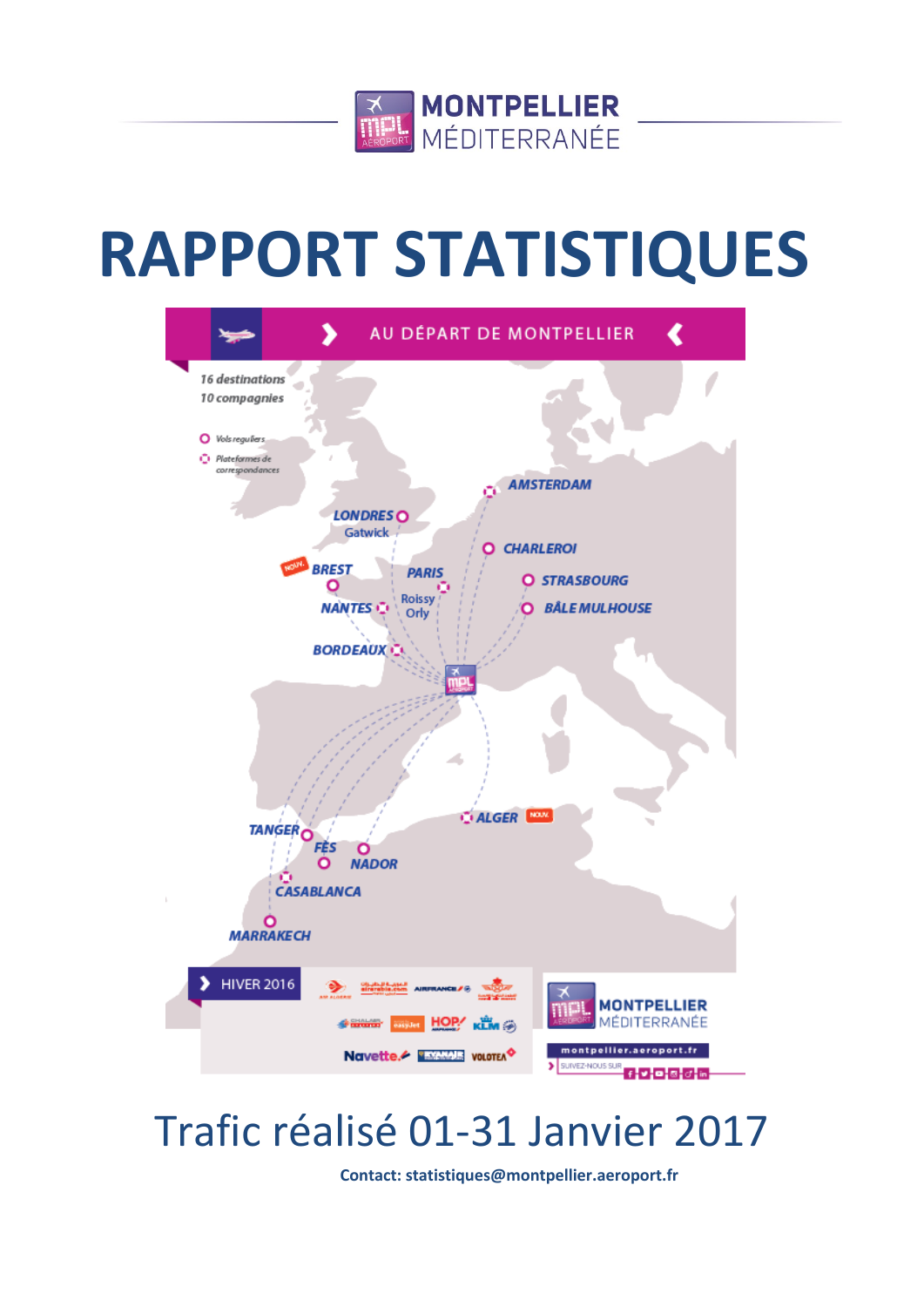

# **RAPPORT STATISTIQUES**



# Trafic réalisé 01-31 Janvier 2017

**Contact: statistiques@montpellier.aeroport.fr**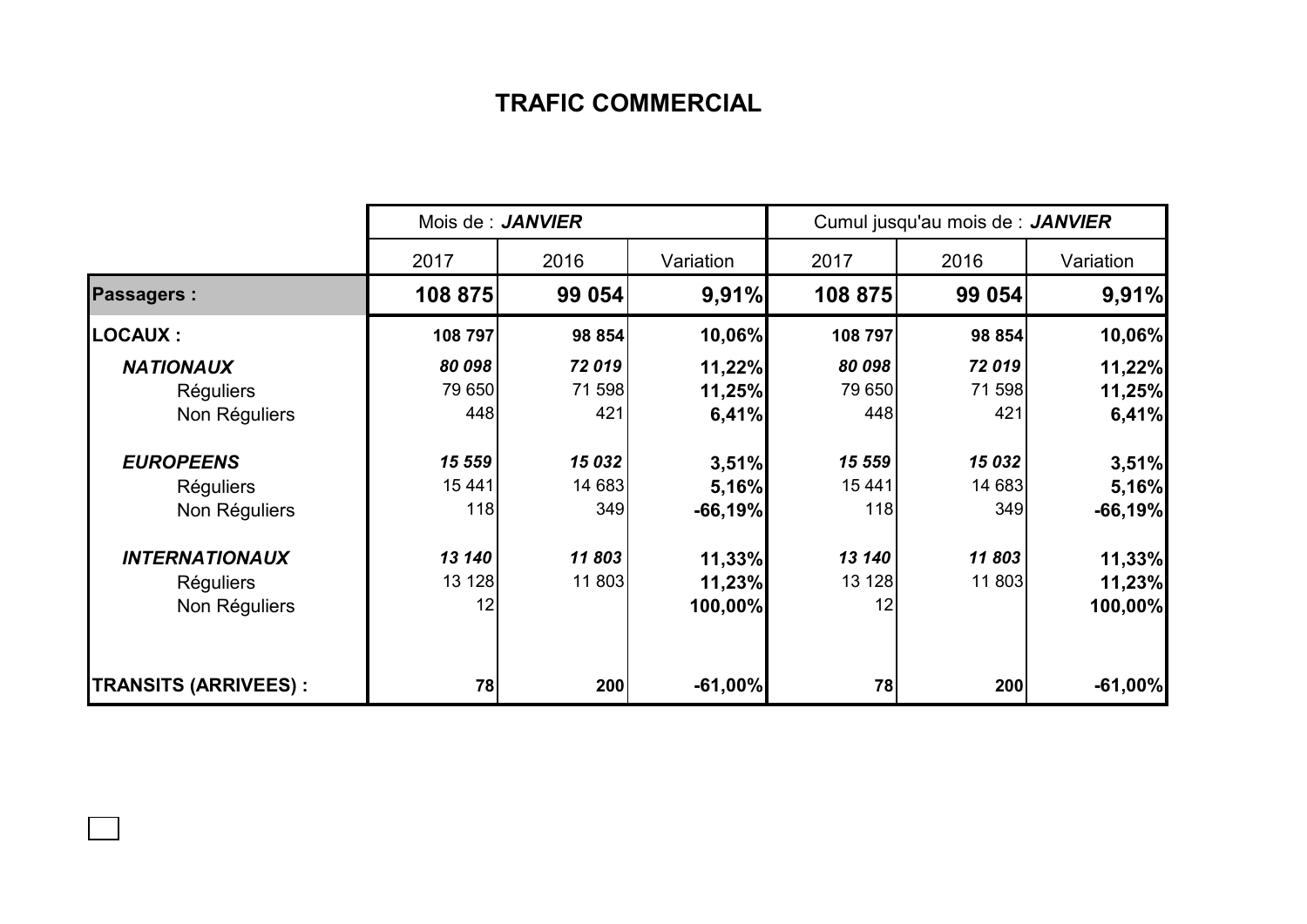## **TRAFIC COMMERCIAL**

|                             | Mois de : JANVIER |        |           | Cumul jusqu'au mois de : JANVIER |        |           |  |
|-----------------------------|-------------------|--------|-----------|----------------------------------|--------|-----------|--|
|                             | 2017              | 2016   | Variation | 2017                             | 2016   | Variation |  |
| <b>Passagers:</b>           | 108 875           | 99 054 | 9,91%     | 108 875                          | 99 054 | 9,91%     |  |
| <b>LOCAUX:</b>              | 108 797           | 98 854 | 10,06%    | 108 797                          | 98 854 | 10,06%    |  |
| <b>NATIONAUX</b>            | 80 098            | 72019  | 11,22%    | 80 098                           | 72019  | 11,22%    |  |
| <b>Réguliers</b>            | 79 650            | 71 598 | 11,25%    | 79 650                           | 71 598 | 11,25%    |  |
| Non Réguliers               | 448               | 421    | 6,41%     | 448                              | 421    | 6,41%     |  |
| <b>EUROPEENS</b>            | 15 559            | 15 032 | 3,51%     | 15 559                           | 15 032 | 3,51%     |  |
| <b>Réguliers</b>            | 15 441            | 14 683 | 5,16%     | 15 441                           | 14 683 | 5,16%     |  |
| Non Réguliers               | 118               | 349    | $-66,19%$ | 118                              | 349    | $-66,19%$ |  |
| <b>INTERNATIONAUX</b>       | 13 140            | 11803  | 11,33%    | 13 140                           | 11803  | 11,33%    |  |
| <b>Réguliers</b>            | 13 128            | 11 803 | 11,23%    | 13 128                           | 11 803 | 11,23%    |  |
| Non Réguliers               | 12                |        | 100,00%   | 12                               |        | 100,00%   |  |
| <b>TRANSITS (ARRIVEES):</b> | 78                | 200    | $-61,00%$ | 78                               | 200    | $-61,00%$ |  |

 $\Box$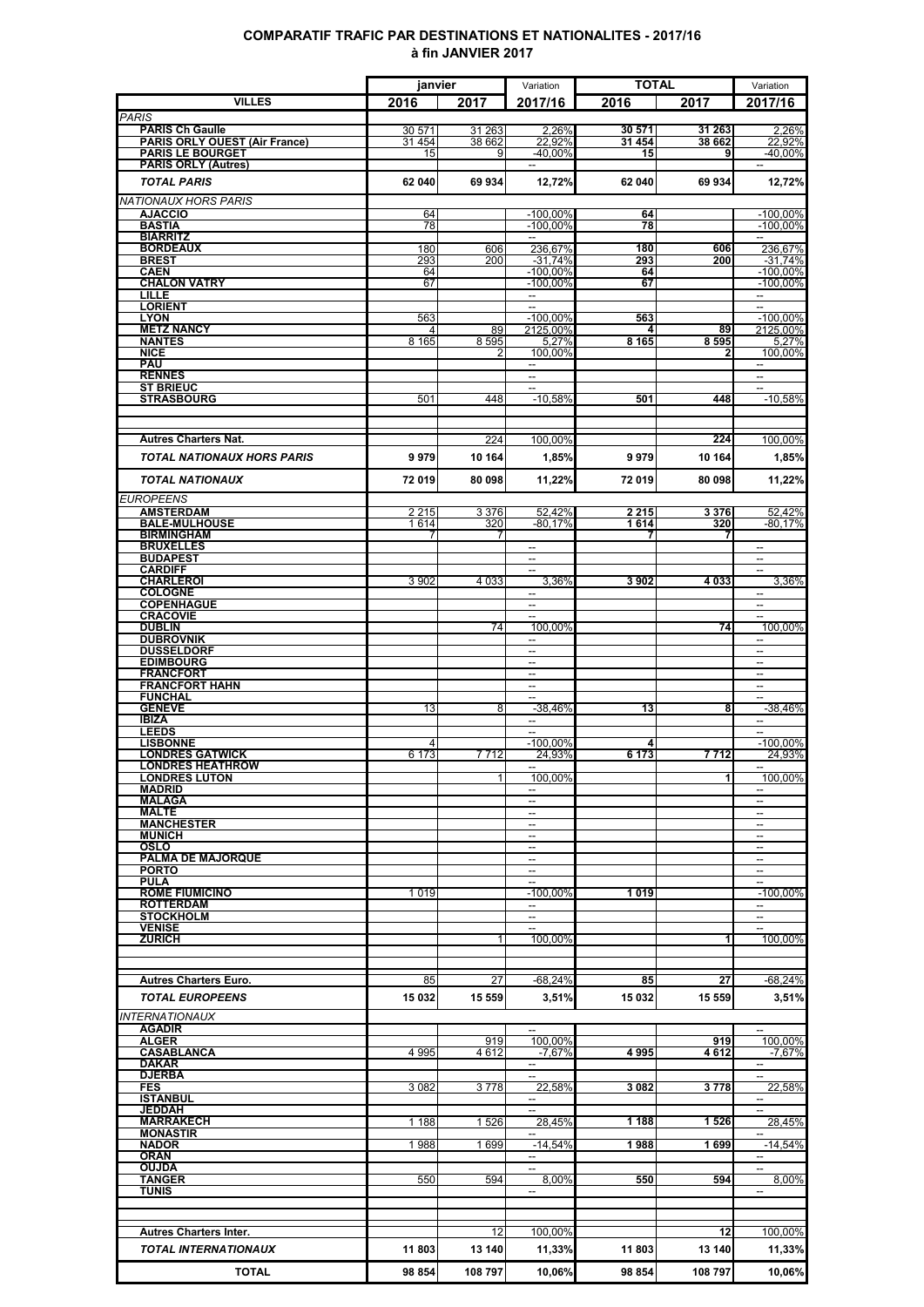### **COMPARATIF TRAFIC PAR DESTINATIONS ET NATIONALITES - 2017/16 à fin JANVIER 2017**

|                                                       | janvier      |             | Variation                                            | <b>TOTAL</b> |               | Variation                               |
|-------------------------------------------------------|--------------|-------------|------------------------------------------------------|--------------|---------------|-----------------------------------------|
| <b>VILLES</b>                                         | 2016         | 2017        | 2017/16                                              | 2016         | 2017          | 2017/16                                 |
| <b>PARIS</b><br><b>PARIS Ch Gaulle</b>                | 30 571       | 31 263      | 2,26%                                                | 30 571       | 31 263        | 2,26%                                   |
| <b>PARIS ORLY OUEST (Air France)</b>                  | 31 454       | 38 662      | 22,92%                                               | 31 454       | 38 662        | 22,92%                                  |
| <b>PARIS LE BOURGET</b><br><b>PARIS ORLY (Autres)</b> | 15           | 9           | -40,00%                                              | 15           | 9             | $-40.00\%$                              |
| <b>TOTAL PARIS</b>                                    | 62 040       | 69934       | 12,72%                                               | 62 040       | 69 934        | 12,72%                                  |
| <b>NATIONAUX HORS PARIS</b>                           |              |             |                                                      |              |               |                                         |
| <b>AJACCIO</b>                                        | 64           |             | $-100,00%$                                           | 64           |               | $-100,00\%$                             |
| <b>BASTIA</b><br><b>BIARRITZ</b>                      | 78           |             | $-100,00\%$<br>$\overline{\phantom{a}}$              | 78           |               | $-100,00\%$<br>$\overline{\phantom{a}}$ |
| <b>BORDEAUX</b>                                       | 180          | 606         | 236.67%                                              | 180          | 606           | 236,67%                                 |
| <b>BREST</b><br><b>CAEN</b>                           | 293<br>64    | 200         | $-31.74%$<br>$-100.00\%$                             | 293<br>64    | 200           | $-31,74%$<br>$-100.00\%$                |
| <b>CHALON VATRY</b>                                   | 67           |             | $-100.00\%$                                          | 67           |               | $-100,00\%$                             |
| LILLE<br><b>LORIENT</b>                               |              |             | $\overline{\phantom{a}}$<br>$\overline{a}$           |              |               | $\overline{\phantom{a}}$<br>--          |
| <b>LYON</b>                                           | 563          |             | $-100,00%$                                           | 563          |               | $-100,00\%$                             |
| <b>METZ NANCY</b><br><b>NANTES</b>                    | 4<br>8 1 6 5 | 89<br>8595  | 2125,00%<br>5,27%                                    | 4<br>8 1 6 5 | 89<br>8 5 9 5 | 2125,00%<br>5,27%                       |
| <b>NICE</b>                                           |              |             | 100,00%                                              |              |               | 100,00%                                 |
| <b>PAU</b><br><b>RENNES</b>                           |              |             | --<br>--                                             |              |               | $\overline{a}$                          |
| <b>ST BRIEUC</b>                                      |              |             | H                                                    |              |               | $\sim$                                  |
| <b>STRASBOURG</b>                                     | 501          | 448         | $-10,58%$                                            | 501          | 448           | $-10,58%$                               |
|                                                       |              |             |                                                      |              |               |                                         |
| <b>Autres Charters Nat.</b>                           |              | 224         | 100,00%                                              |              | 224           | 100,00%                                 |
| <b>TOTAL NATIONAUX HORS PARIS</b>                     | 9979         | 10 164      | 1,85%                                                | 9979         | 10 164        | 1,85%                                   |
| <b>TOTAL NATIONAUX</b>                                | 72 019       | 80 098      | 11,22%                                               | 72 019       | 80 098        | 11,22%                                  |
| <b>EUROPEENS</b>                                      |              |             |                                                      |              |               |                                         |
| <b>AMSTERDAM</b>                                      | 2 2 1 5      | 3 3 7 6     | 52,42%                                               | 2 2 1 5      | 3376          | 52,42%                                  |
| <b>BALE-MULHOUSE</b><br><b>BIRMINGHAM</b>             | 1614<br>7    | 320         | $-80.17%$                                            | 1614<br>7    | 320<br>7      | -80.17%                                 |
| <b>BRUXELLES</b>                                      |              |             | $\overline{\phantom{a}}$                             |              |               | $\overline{\phantom{a}}$                |
| <b>BUDAPEST</b><br><b>CARDIFF</b>                     |              |             | --<br>$\sim$                                         |              |               | --<br>$\sim$                            |
| <b>CHARLEROI</b>                                      | 3 9 0 2      | 4 0 3 3     | 3,36%                                                | 3902         | 4033          | 3,36%                                   |
| <b>COLOGNE</b><br><b>COPENHAGUE</b>                   |              |             | $\sim$<br>$\overline{\phantom{a}}$                   |              |               | $\sim$<br>$\overline{\phantom{a}}$      |
| <b>CRACOVIE</b>                                       |              |             |                                                      |              |               |                                         |
| <b>DUBLIN</b><br><b>DUBROVNIK</b>                     |              | 74          | 100,00%<br>$\sim$                                    |              | 74            | 100,00%                                 |
| <b>DUSSELDORF</b>                                     |              |             | $\overline{\phantom{a}}$                             |              |               |                                         |
| <b>EDIMBOURG</b>                                      |              |             | $\overline{a}$                                       |              |               | $\overline{\phantom{a}}$                |
| <b>FRANCFORT</b><br><b>FRANCFORT HAHN</b>             |              |             | --<br>$\sim$                                         |              |               | --<br>$\overline{\phantom{a}}$          |
| <b>FUNCHAL</b>                                        |              |             | $\overline{a}$                                       |              |               | $\overline{\phantom{a}}$                |
| <b>GENEVE</b><br><b>IBIZA</b>                         | 13           | 8           | $-38,46%$<br>$\overline{\phantom{a}}$                | 13           | 8             | $-38,46%$                               |
| <b>LEEDS</b>                                          |              |             | H                                                    |              |               | $\overline{\phantom{a}}$                |
| <b>LISBONNE</b><br><b>LONDRES GATWICK</b>             | 6 173        | 7712        | $-100,00%$<br>24,93%                                 | 6 1 7 3      | 7 7 1 2       | $-100,00%$<br>24,93%                    |
| <b>LONDRES HEATHROW</b>                               |              |             | $\overline{\phantom{0}}$                             |              |               | $\overline{\phantom{a}}$                |
| <b>LONDRES LUTON</b><br><b>MADRID</b>                 |              | 11          | 100,00%                                              |              | 11            | 100,00%                                 |
| <b>MALAGA</b>                                         |              |             | $\overline{a}$                                       |              |               | $\overline{\phantom{0}}$                |
| <b>MALTE</b><br><b>MANCHESTER</b>                     |              |             | $\overline{\phantom{0}}$<br>∽.                       |              |               | $\overline{a}$<br>$\hspace{0.05cm} -$   |
| <b>MUNICH</b>                                         |              |             | $\overline{\phantom{a}}$                             |              |               | $\overline{\phantom{a}}$                |
| OSLO<br><b>PALMA DE MAJORQUE</b>                      |              |             | $\overline{\phantom{a}}$<br>$\overline{\phantom{a}}$ |              |               | --<br>$\overline{\phantom{a}}$          |
| <b>PORTO</b>                                          |              |             | $\overline{\phantom{a}}$                             |              |               | $\overline{\phantom{a}}$                |
| <b>PULA</b><br><b>ROME FIUMICINO</b>                  | 1019         |             | $-100,00\%$                                          | 1019         |               | $-100,00\%$                             |
| <b>ROTTERDAM</b>                                      |              |             | $\sim$                                               |              |               |                                         |
| <b>STOCKHOLM</b><br><b>VENISE</b>                     |              |             | $\overline{\phantom{0}}$                             |              |               | $\overline{a}$                          |
| <b>ZURICH</b>                                         |              |             | 100,00%                                              |              |               | 100,00%                                 |
|                                                       |              |             |                                                      |              |               |                                         |
| <b>Autres Charters Euro.</b>                          | 85           | 27          | -68,24%                                              | 85           | 27            | $-68,24%$                               |
| <b>TOTAL EUROPEENS</b>                                | 15 032       | 15 559      | 3,51%                                                | 15 032       | 15 559        | 3,51%                                   |
| <b>INTERNATIONAUX</b>                                 |              |             |                                                      |              |               |                                         |
| <b>AGADIR</b>                                         |              |             | $\overline{\phantom{0}}$                             |              |               | $\overline{a}$                          |
| <b>ALGER</b><br><b>CASABLANCA</b>                     | 4 9 9 5      | 919<br>4612 | 100,00%                                              | 4995         | 919<br>4612   | 100,00%<br>$-7,67%$                     |
| <b>DAKAR</b>                                          |              |             | $-7,67%$<br>$\overline{a}$                           |              |               | $\sim$                                  |
| <b>DJERBA</b><br><b>FES</b>                           | 3 0 8 2      | 3778        | $\overline{a}$<br>22,58%                             | 3 0 8 2      | 3778          | $\overline{\phantom{a}}$<br>22,58%      |
| <b>ISTANBUL</b>                                       |              |             | −−                                                   |              |               | --                                      |
| JEDDAH                                                |              |             | 28,45%                                               |              |               |                                         |
| <b>MARRAKECH</b><br><b>MONASTIR</b>                   | 1 1 8 8      | 1526        |                                                      | 1 1 8 8      | 1526          | 28,45%                                  |
| <b>NADOR</b>                                          | 1988         | 1699        | $-14,54%$<br>$\overline{\phantom{a}}$                | 1988         | 1699          | $-14,54%$<br>$\sim$                     |
| <b>ORAN</b><br><b>OUJDA</b>                           |              |             | $\overline{\phantom{a}}$                             |              |               | $\overline{\phantom{a}}$                |
| <b>TANGER</b>                                         | 550          | 594         | 8,00%                                                | 550          | 594           | 8,00%                                   |
| <b>TUNIS</b>                                          |              |             |                                                      |              |               |                                         |
|                                                       |              |             |                                                      |              |               |                                         |
| <b>Autres Charters Inter.</b>                         |              | 12          | 100,00%                                              |              | 12            | 100,00%                                 |
| <b>TOTAL INTERNATIONAUX</b>                           | 11803        | 13 140      | 11,33%                                               | 11 803       | 13 140        | 11,33%                                  |
| <b>TOTAL</b>                                          | 98 854       | 108 797     | 10,06%                                               | 98 854       | 108 797       | 10,06%                                  |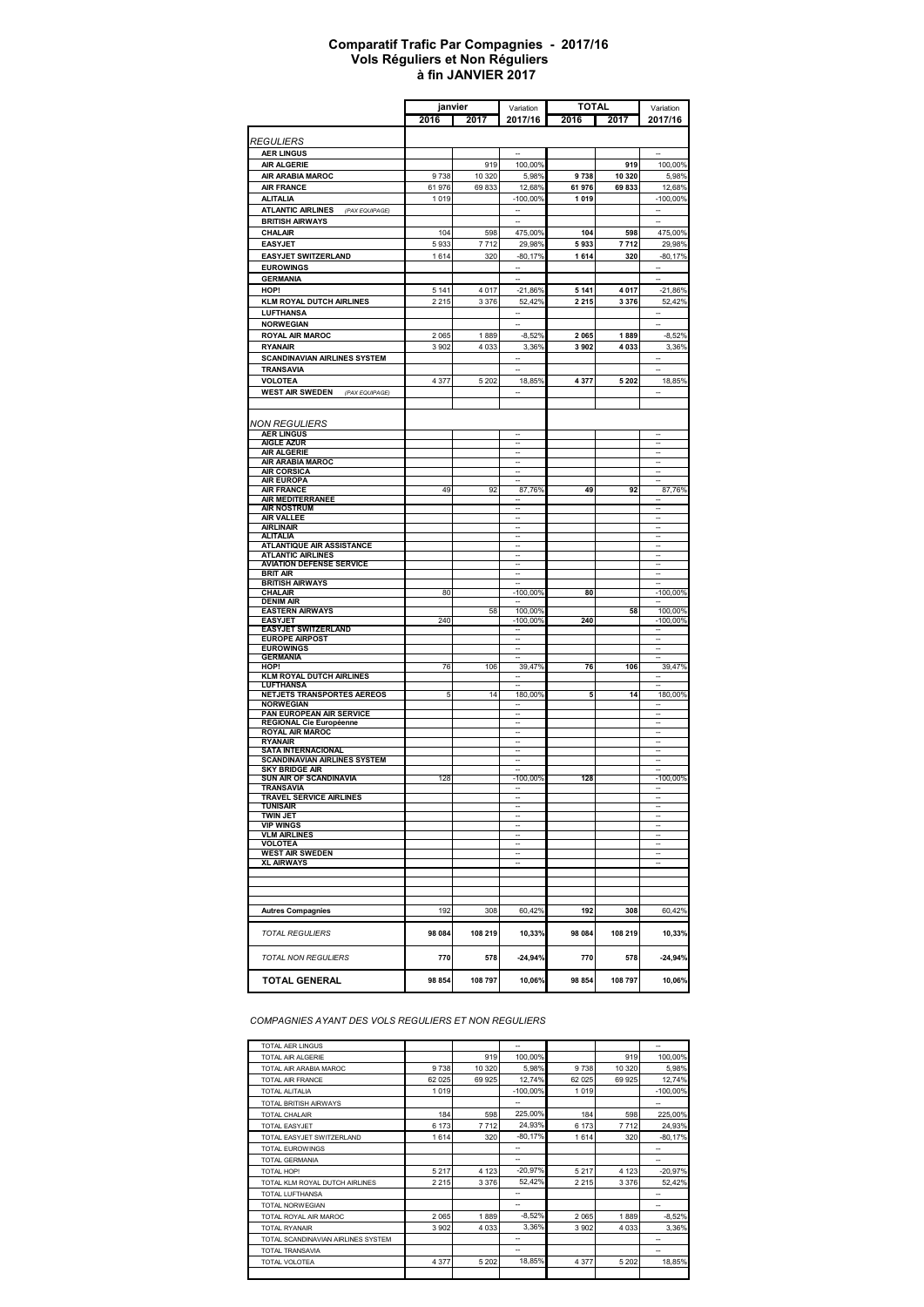#### **à fin JANVIER 2017 Comparatif Trafic Par Compagnies - 2017/16 Vols Réguliers et Non Réguliers**

|                                                                  | janvier            |               | Variation                                            | <b>TOTAL</b> |               | Variation                                            |
|------------------------------------------------------------------|--------------------|---------------|------------------------------------------------------|--------------|---------------|------------------------------------------------------|
|                                                                  | 2016               | 2017          | 2017/16                                              | 2016         | 2017          | 2017/16                                              |
|                                                                  |                    |               |                                                      |              |               |                                                      |
| <i><b>REGULIERS</b></i>                                          |                    |               |                                                      |              |               |                                                      |
| <b>AER LINGUS</b>                                                |                    |               |                                                      |              |               |                                                      |
| <b>AIR ALGERIE</b><br>AIR ARABIA MAROC                           | 9738               | 919<br>10 320 | 100,00%<br>5,98%                                     | 9738         | 919<br>10 320 | 100,00%<br>5,98%                                     |
| <b>AIR FRANCE</b>                                                | 61976              | 69833         | 12,68%                                               | 61976        | 69833         | 12,68%                                               |
| <b>ALITALIA</b>                                                  | 1019               |               | $-100,00%$                                           | 1019         |               | $-100,00%$                                           |
| <b>ATLANTIC AIRLINES</b><br>(PAX EQUIPAGE)                       |                    |               | $\overline{\phantom{a}}$                             |              |               | -                                                    |
| <b>BRITISH AIRWAYS</b>                                           |                    |               |                                                      |              |               |                                                      |
| CHALAIR                                                          | 104                | 598           | 475,00%                                              | 104          | 598           | 475,00%                                              |
| <b>EASYJET</b>                                                   | 5933               | 7712          | 29,98%                                               | 5933         | 7712          | 29,98%                                               |
| <b>EASYJET SWITZERLAND</b>                                       | 1614               | 320           | $-80,17%$                                            | 1614         | 320           | $-80,17%$                                            |
| <b>EUROWINGS</b>                                                 |                    |               | ÷.                                                   |              |               | u,                                                   |
| <b>GERMANIA</b>                                                  |                    |               |                                                      |              |               |                                                      |
| HOP!<br><b>KLM ROYAL DUTCH AIRLINES</b>                          | 5 1 4 1<br>2 2 1 5 | 4 0 1 7       | $-21,86%$                                            | 5 1 4 1      | 4017<br>3376  | $-21,86%$                                            |
| LUFTHANSA                                                        |                    | 3 3 7 6       | 52,42%<br>-                                          | 2 2 1 5      |               | 52,42%<br>۰.                                         |
| <b>NORWEGIAN</b>                                                 |                    |               |                                                      |              |               |                                                      |
| ROYAL AIR MAROC                                                  | 2 0 6 5            | 1889          | $-8,52%$                                             | 2 0 6 5      | 1889          | $-8,52%$                                             |
| <b>RYANAIR</b>                                                   | 3 9 0 2            | 4 0 3 3       | 3,36%                                                | 3902         | 4033          | 3,36%                                                |
| <b>SCANDINAVIAN AIRLINES SYSTEM</b>                              |                    |               |                                                      |              |               |                                                      |
| <b>TRANSAVIA</b>                                                 |                    |               | u.                                                   |              |               | ÷.                                                   |
| <b>VOLOTEA</b>                                                   | 4 377              | 5 2 0 2       | 18,85%                                               | 4377         | 5 2 0 2       | 18,85%                                               |
| <b>WEST AIR SWEDEN</b> (PAX EQUIPAGE)                            |                    |               | $\overline{\phantom{a}}$                             |              |               | $\overline{\phantom{a}}$                             |
|                                                                  |                    |               |                                                      |              |               |                                                      |
| NON REGULIERS                                                    |                    |               |                                                      |              |               |                                                      |
| <b>AER LINGUS</b>                                                |                    |               |                                                      |              |               |                                                      |
| <b>AIGLE AZUR</b>                                                |                    |               | $\overline{\phantom{a}}$                             |              |               | $\overline{\phantom{a}}$                             |
| <b>AIR ALGERIE</b><br><b>AIR ARABIA MAROC</b>                    |                    |               | $\overline{\phantom{a}}$<br>$\overline{\phantom{a}}$ |              |               | $\overline{\phantom{a}}$<br>$\overline{\phantom{a}}$ |
| <b>AIR CORSICA</b>                                               |                    |               | $\overline{\phantom{a}}$                             |              |               | $\overline{\phantom{a}}$                             |
| <b>AIR EUROPA</b>                                                |                    |               |                                                      |              |               |                                                      |
| <b>AIR FRANCE</b><br><b>AIR MEDITERRANEE</b>                     | 49                 | 92            | 87,76%                                               | 49           | 92            | 87,76%                                               |
| <b>AIR NOSTRUM</b>                                               |                    |               |                                                      |              |               |                                                      |
| <b>AIR VALLEE</b>                                                |                    |               |                                                      |              |               | $\overline{\phantom{a}}$                             |
| <b>AIRLINAIR</b><br><b>ALITALIA</b>                              |                    |               |                                                      |              |               | $\overline{\phantom{a}}$<br>$\overline{\phantom{a}}$ |
| <b>ATLANTIQUE AIR ASSISTANCE</b>                                 |                    |               |                                                      |              |               |                                                      |
| <b>ATLANTIC AIRLINES</b>                                         |                    |               |                                                      |              |               |                                                      |
| <b>AVIATION DEFENSE SERVICE</b><br>BRIT AIR                      |                    |               | $\overline{\phantom{a}}$                             |              |               | $\overline{\phantom{a}}$<br>$\overline{\phantom{a}}$ |
| <b>BRITISH AIRWAYS</b>                                           |                    |               |                                                      |              |               |                                                      |
| CHALAIR                                                          | 80                 |               | $-100,00\%$                                          | 80           |               | $-100,00\%$                                          |
| <b>DENIM AIR</b><br><b>EASTERN AIRWAYS</b>                       |                    | 58            | 100,00%                                              |              | 58            | 100,00%                                              |
| <b>EASYJET</b>                                                   | 240                |               | -100,00%                                             | 240          |               | $-100,00\%$                                          |
| <b>EASYJET SWITZERLAND</b>                                       |                    |               |                                                      |              |               |                                                      |
| <b>EUROPE AIRPOST</b><br><b>EUROWINGS</b>                        |                    |               |                                                      |              |               | $\overline{\phantom{a}}$<br>$\overline{\phantom{a}}$ |
| <b>GERMANIA</b>                                                  |                    |               |                                                      |              |               |                                                      |
| HOP!                                                             | 76                 | 106           | 39,47%                                               | 76           | 106           | 39,47%                                               |
| <b>KLM ROYAL DUTCH AIRLINES</b><br>LUFTHANSA                     |                    |               |                                                      |              |               |                                                      |
| <b>NETJETS TRANSPORTES AEREOS</b>                                | 5                  | 14            | 180,00%                                              | 5            | 14            | 180,00%                                              |
| <b>NORWEGIAN</b>                                                 |                    |               |                                                      |              |               |                                                      |
| PAN EUROPEAN AIR SERVICE<br><b>REGIONAL Cie Européenne</b>       |                    |               |                                                      |              |               | $\overline{\phantom{a}}$<br>$\overline{\phantom{a}}$ |
| <b>ROYAL AIR MAROC</b>                                           |                    |               |                                                      |              |               |                                                      |
| RYANAIR                                                          |                    |               |                                                      |              |               |                                                      |
| <b>SATA INTERNACIONAL</b><br><b>SCANDINAVIAN AIRLINES SYSTEM</b> |                    |               |                                                      |              |               |                                                      |
| <b>SKY BRIDGE AIR</b>                                            |                    |               |                                                      |              |               |                                                      |
| SUN AIR OF SCANDINAVIA                                           | 128                |               | $-100,00\%$                                          | 128          |               | $-100,00\%$                                          |
| <b>TRANSAVIA</b>                                                 |                    |               |                                                      |              |               |                                                      |
| TRAVEL SERVICE AIRLINES<br>TUNISAIR                              |                    |               | $\sim$                                               |              |               |                                                      |
| TWIN JET                                                         |                    |               | $\sim$                                               |              |               | $\overline{\phantom{a}}$                             |
| <b>VIP WINGS</b><br><b>VLM AIRLINES</b>                          |                    |               | $\overline{\phantom{a}}$<br>$\overline{\phantom{a}}$ |              |               | $\overline{\phantom{a}}$<br>$\overline{\phantom{a}}$ |
| <b>VOLOTEA</b>                                                   |                    |               | $\sim$                                               |              |               | $\overline{\phantom{a}}$                             |
| <b>WEST AIR SWEDEN</b>                                           |                    |               | $\sim$                                               |              |               | $\overline{\phantom{a}}$                             |
| <b>XL AIRWAYS</b>                                                |                    |               | $\sim$                                               |              |               | $\overline{\phantom{a}}$                             |
|                                                                  |                    |               |                                                      |              |               |                                                      |
|                                                                  |                    |               |                                                      |              |               |                                                      |
|                                                                  |                    |               |                                                      |              |               |                                                      |
| <b>Autres Compagnies</b>                                         | 192                | 308           | 60,42%                                               | 192          | 308           | 60,42%                                               |
| <b>TOTAL REGULIERS</b>                                           | 98 084             | 108 219       | 10,33%                                               | 98 084       | 108 219       | 10,33%                                               |
| TOTAL NON REGULIERS                                              | 770                | 578           | $-24,94%$                                            | 770          | 578           | $-24,94%$                                            |
| <b>TOTAL GENERAL</b>                                             | 98 854             | 108 797       | 10,06%                                               | 98 854       | 108797        | 10,06%                                               |

*COMPAGNIES AYANT DES VOLS REGULIERS ET NON REGULIERS*

| <b>TOTAL AER LINGUS</b>            |         |         | $\overline{\phantom{a}}$ |         |         | --                       |
|------------------------------------|---------|---------|--------------------------|---------|---------|--------------------------|
| <b>TOTAL AIR ALGERIE</b>           |         | 919     | 100,00%                  |         | 919     | 100,00%                  |
| TOTAL AIR ARABIA MAROC             | 9738    | 10 320  | 5.98%                    | 9738    | 10 3 20 | 5,98%                    |
| <b>TOTAL AIR FRANCE</b>            | 62 0 25 | 69 925  | 12.74%                   | 62 0 25 | 69925   | 12.74%                   |
| <b>TOTAL ALITALIA</b>              | 1019    |         | $-100,00\%$              | 1019    |         | $-100,00%$               |
| <b>TOTAL BRITISH AIRWAYS</b>       |         |         | $\overline{\phantom{a}}$ |         |         | $\overline{\phantom{a}}$ |
| <b>TOTAL CHALAIR</b>               | 184     | 598     | 225,00%                  | 184     | 598     | 225,00%                  |
| <b>TOTAL EASYJET</b>               | 6 173   | 7712    | 24,93%                   | 6 173   | 7712    | 24,93%                   |
| TOTAL EASYJET SWITZERLAND          | 1614    | 320     | $-80.17%$                | 1614    | 320     | $-80.17%$                |
| <b>TOTAL EUROWINGS</b>             |         |         | -                        |         |         | --                       |
| <b>TOTAL GERMANIA</b>              |         |         | $\overline{\phantom{a}}$ |         |         | --                       |
| TOTAL HOP!                         | 5 2 1 7 | 4 1 2 3 | $-20,97%$                | 5 2 1 7 | 4 1 2 3 | $-20,97%$                |
| TOTAL KLM ROYAL DUTCH AIRLINES     | 2 2 1 5 | 3 3 7 6 | 52,42%                   | 2 2 1 5 | 3376    | 52,42%                   |
| TOTAL LUFTHANSA                    |         |         | -                        |         |         | --                       |
| <b>TOTAL NORWEGIAN</b>             |         |         | -                        |         |         | --                       |
| TOTAL ROYAL AIR MAROC              | 2 0 6 5 | 1889    | $-8,52%$                 | 2 0 6 5 | 1889    | $-8,52%$                 |
| <b>TOTAL RYANAIR</b>               | 3 9 0 2 | 4 0 3 3 | 3.36%                    | 3 9 0 2 | 4033    | 3,36%                    |
| TOTAL SCANDINAVIAN AIRLINES SYSTEM |         |         | -                        |         |         | --                       |
| <b>TOTAL TRANSAVIA</b>             |         |         | -                        |         |         | --                       |
| TOTAL VOLOTEA                      | 4 3 7 7 | 5 2 0 2 | 18.85%                   | 4 3 7 7 | 5 2 0 2 | 18,85%                   |
|                                    |         |         |                          |         |         |                          |